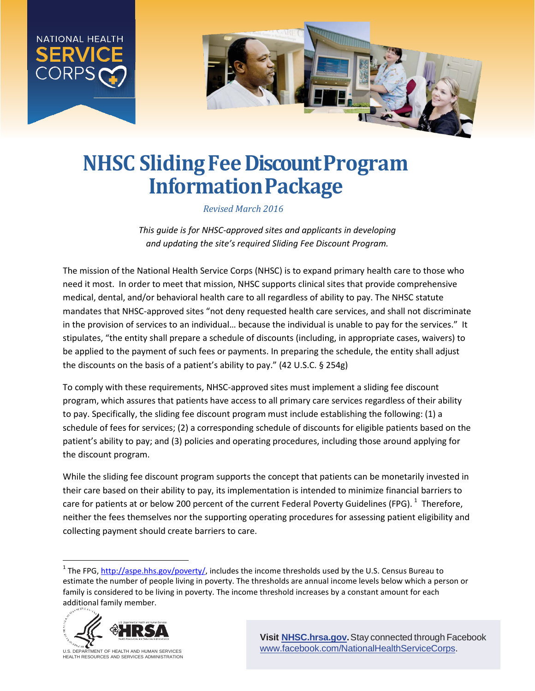

# **NHSC Sliding Fee Discount Program InformationPackage**

*Revised March 2016*

*This guide is for NHSC-approved sites and applicants in developing and updating the site's required Sliding Fee Discount Program.*

The mission of the National Health Service Corps (NHSC) is to expand primary health care to those who need it most. In order to meet that mission, NHSC supports clinical sites that provide comprehensive medical, dental, and/or behavioral health care to all regardless of ability to pay. The NHSC statute mandates that NHSC-approved sites "not deny requested health care services, and shall not discriminate in the provision of services to an individual… because the individual is unable to pay for the services." It stipulates, "the entity shall prepare a schedule of discounts (including, in appropriate cases, waivers) to be applied to the payment of such fees or payments. In preparing the schedule, the entity shall adjust the discounts on the basis of a patient's ability to pay." (42 U.S.C. § 254g)

To comply with these requirements, NHSC-approved sites must implement a sliding fee discount program, which assures that patients have access to all primary care services regardless of their ability to pay. Specifically, the sliding fee discount program must include establishing the following: (1) a schedule of fees for services; (2) a corresponding schedule of discounts for eligible patients based on the patient's ability to pay; and (3) policies and operating procedures, including those around applying for the discount program.

While the sliding fee discount program supports the concept that patients can be monetarily invested in their care based on their ability to pay, its implementation is intended to minimize financial barriers to care for patients at or below 200 percent of the current Federal Poverty Guidelines (FPG).  $^1$  $^1$  Therefore, neither the fees themselves nor the supporting operating procedures for assessing patient eligibility and collecting payment should create barriers to care.

<span id="page-0-0"></span><sup>&</sup>lt;sup>1</sup> The FPG[, http://aspe.hhs.gov/poverty/,](http://aspe.hhs.gov/poverty/) includes the income thresholds used by the U.S. Census Bureau to estimate the number of people living in poverty. The thresholds are annual income levels below which a person or family is considered to be living in poverty. The income threshold increases by a constant amount for each additional family member.



U.S. DEPARTMENT OF HEALTH AND HUMAN SERVICES<br>HEALTH RESOURCES AND SERVICES ADMINISTRATION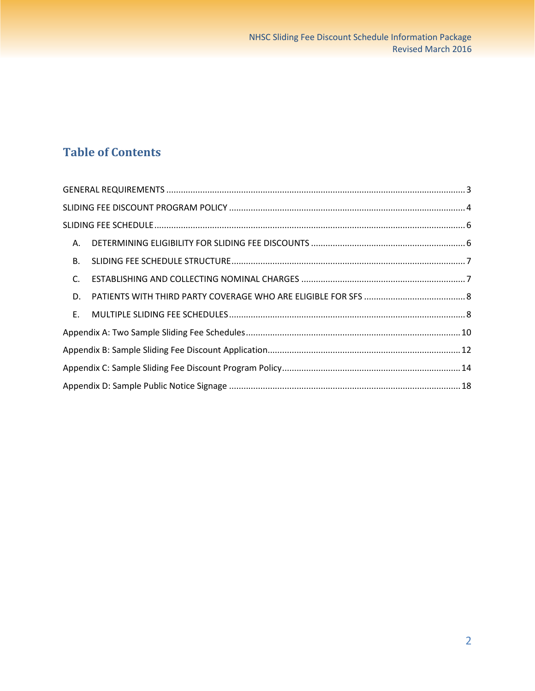## **Table of Contents**

| <b>B.</b> |  |
|-----------|--|
| C.        |  |
| D.        |  |
| E.        |  |
|           |  |
|           |  |
|           |  |
|           |  |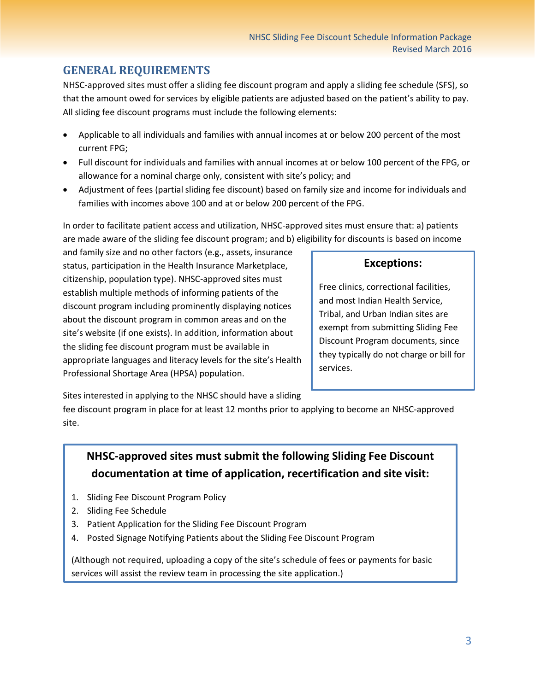### <span id="page-2-0"></span>**GENERAL REQUIREMENTS**

NHSC-approved sites must offer a sliding fee discount program and apply a sliding fee schedule (SFS), so that the amount owed for services by eligible patients are adjusted based on the patient's ability to pay. All sliding fee discount programs must include the following elements:

- Applicable to all individuals and families with annual incomes at or below 200 percent of the most current FPG;
- Full discount for individuals and families with annual incomes at or below 100 percent of the FPG, or allowance for a nominal charge only, consistent with site's policy; and
- Adjustment of fees (partial sliding fee discount) based on family size and income for individuals and families with incomes above 100 and at or below 200 percent of the FPG.

In order to facilitate patient access and utilization, NHSC-approved sites must ensure that: a) patients are made aware of the sliding fee discount program; and b) eligibility for discounts is based on income

and family size and no other factors (e.g., assets, insurance status, participation in the Health Insurance Marketplace, citizenship, population type). NHSC-approved sites must establish multiple methods of informing patients of the discount program including prominently displaying notices about the discount program in common areas and on the site's website (if one exists). In addition, information about the sliding fee discount program must be available in appropriate languages and literacy levels for the site's Health Professional Shortage Area (HPSA) population.

### **Exceptions:**

Free clinics, correctional facilities, and most Indian Health Service, Tribal, and Urban Indian sites are exempt from submitting Sliding Fee Discount Program documents, since they typically do not charge or bill for services.

Sites interested in applying to the NHSC should have a sliding

fee discount program in place for at least 12 months prior to applying to become an NHSC-approved site.

### **NHSC-approved sites must submit the following Sliding Fee Discount documentation at time of application, recertification and site visit:**

- 1. Sliding Fee Discount Program Policy
- 2. Sliding Fee Schedule
- 3. Patient Application for the Sliding Fee Discount Program
- 4. Posted Signage Notifying Patients about the Sliding Fee Discount Program

(Although not required, uploading a copy of the site's schedule of fees or payments for basic services will assist the review team in processing the site application.)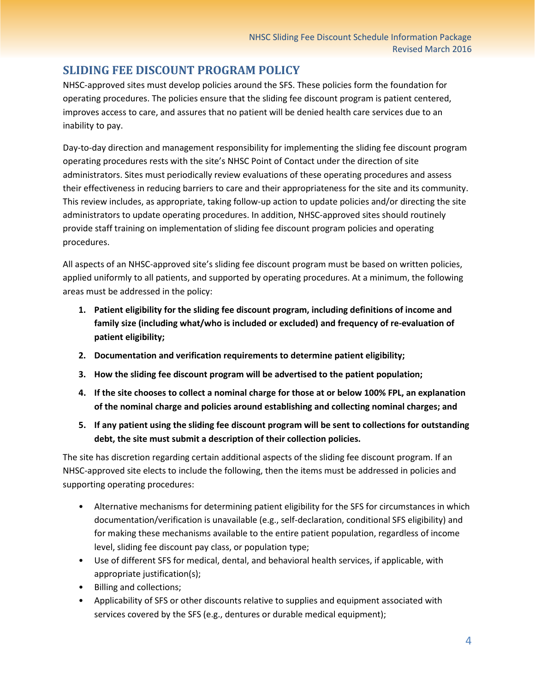### <span id="page-3-0"></span>**SLIDING FEE DISCOUNT PROGRAM POLICY**

NHSC-approved sites must develop policies around the SFS. These policies form the foundation for operating procedures. The policies ensure that the sliding fee discount program is patient centered, improves access to care, and assures that no patient will be denied health care services due to an inability to pay.

Day-to-day direction and management responsibility for implementing the sliding fee discount program operating procedures rests with the site's NHSC Point of Contact under the direction of site administrators. Sites must periodically review evaluations of these operating procedures and assess their effectiveness in reducing barriers to care and their appropriateness for the site and its community. This review includes, as appropriate, taking follow-up action to update policies and/or directing the site administrators to update operating procedures. In addition, NHSC-approved sites should routinely provide staff training on implementation of sliding fee discount program policies and operating procedures.

All aspects of an NHSC-approved site's sliding fee discount program must be based on written policies, applied uniformly to all patients, and supported by operating procedures. At a minimum, the following areas must be addressed in the policy:

- **1. Patient eligibility for the sliding fee discount program, including definitions of income and family size (including what/who is included or excluded) and frequency of re-evaluation of patient eligibility;**
- **2. Documentation and verification requirements to determine patient eligibility;**
- **3. How the sliding fee discount program will be advertised to the patient population;**
- **4. If the site chooses to collect a nominal charge for those at or below 100% FPL, an explanation of the nominal charge and policies around establishing and collecting nominal charges; and**
- **5. If any patient using the sliding fee discount program will be sent to collections for outstanding debt, the site must submit a description of their collection policies.**

The site has discretion regarding certain additional aspects of the sliding fee discount program. If an NHSC-approved site elects to include the following, then the items must be addressed in policies and supporting operating procedures:

- Alternative mechanisms for determining patient eligibility for the SFS for circumstances in which documentation/verification is unavailable (e.g., self-declaration, conditional SFS eligibility) and for making these mechanisms available to the entire patient population, regardless of income level, sliding fee discount pay class, or population type;
- Use of different SFS for medical, dental, and behavioral health services, if applicable, with appropriate justification(s);
- Billing and collections;
- Applicability of SFS or other discounts relative to supplies and equipment associated with services covered by the SFS (e.g., dentures or durable medical equipment);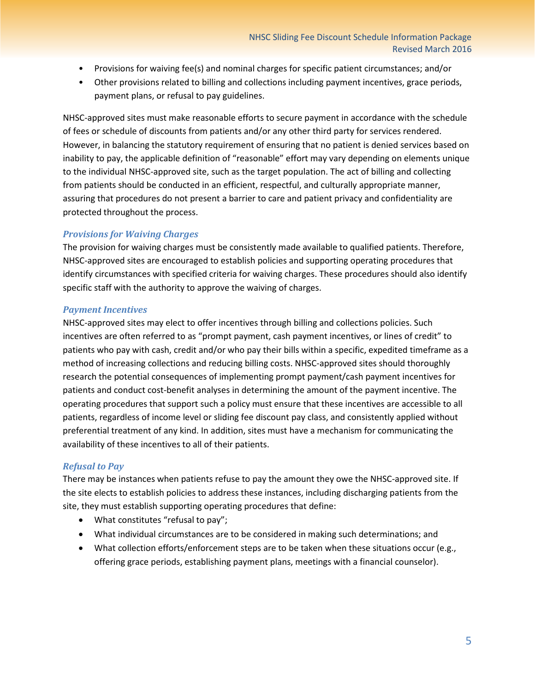- Provisions for waiving fee(s) and nominal charges for specific patient circumstances; and/or
- Other provisions related to billing and collections including payment incentives, grace periods, payment plans, or refusal to pay guidelines.

NHSC-approved sites must make reasonable efforts to secure payment in accordance with the schedule of fees or schedule of discounts from patients and/or any other third party for services rendered. However, in balancing the statutory requirement of ensuring that no patient is denied services based on inability to pay, the applicable definition of "reasonable" effort may vary depending on elements unique to the individual NHSC-approved site, such as the target population. The act of billing and collecting from patients should be conducted in an efficient, respectful, and culturally appropriate manner, assuring that procedures do not present a barrier to care and patient privacy and confidentiality are protected throughout the process.

### *Provisions for Waiving Charges*

The provision for waiving charges must be consistently made available to qualified patients. Therefore, NHSC-approved sites are encouraged to establish policies and supporting operating procedures that identify circumstances with specified criteria for waiving charges. These procedures should also identify specific staff with the authority to approve the waiving of charges.

### *Payment Incentives*

NHSC-approved sites may elect to offer incentives through billing and collections policies. Such incentives are often referred to as "prompt payment, cash payment incentives, or lines of credit" to patients who pay with cash, credit and/or who pay their bills within a specific, expedited timeframe as a method of increasing collections and reducing billing costs. NHSC-approved sites should thoroughly research the potential consequences of implementing prompt payment/cash payment incentives for patients and conduct cost-benefit analyses in determining the amount of the payment incentive. The operating procedures that support such a policy must ensure that these incentives are accessible to all patients, regardless of income level or sliding fee discount pay class, and consistently applied without preferential treatment of any kind. In addition, sites must have a mechanism for communicating the availability of these incentives to all of their patients.

### *Refusal to Pay*

There may be instances when patients refuse to pay the amount they owe the NHSC-approved site. If the site elects to establish policies to address these instances, including discharging patients from the site, they must establish supporting operating procedures that define:

- What constitutes "refusal to pay";
- What individual circumstances are to be considered in making such determinations; and
- What collection efforts/enforcement steps are to be taken when these situations occur (e.g., offering grace periods, establishing payment plans, meetings with a financial counselor).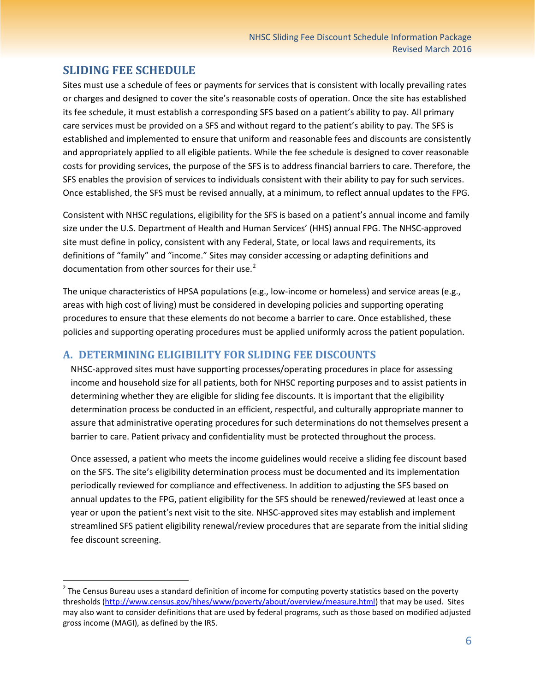### <span id="page-5-0"></span>**SLIDING FEE SCHEDULE**

Sites must use a schedule of fees or payments for services that is consistent with locally prevailing rates or charges and designed to cover the site's reasonable costs of operation. Once the site has established its fee schedule, it must establish a corresponding SFS based on a patient's ability to pay. All primary care services must be provided on a SFS and without regard to the patient's ability to pay. The SFS is established and implemented to ensure that uniform and reasonable fees and discounts are consistently and appropriately applied to all eligible patients. While the fee schedule is designed to cover reasonable costs for providing services, the purpose of the SFS is to address financial barriers to care. Therefore, the SFS enables the provision of services to individuals consistent with their ability to pay for such services. Once established, the SFS must be revised annually, at a minimum, to reflect annual updates to the FPG.

Consistent with NHSC regulations, eligibility for the SFS is based on a patient's annual income and family size under the U.S. Department of Health and Human Services' (HHS) annual FPG. The NHSC-approved site must define in policy, consistent with any Federal, State, or local laws and requirements, its definitions of "family" and "income." Sites may consider accessing or adapting definitions and documentation from other sources for their use. $2$ 

The unique characteristics of HPSA populations (e.g., low-income or homeless) and service areas (e.g., areas with high cost of living) must be considered in developing policies and supporting operating procedures to ensure that these elements do not become a barrier to care. Once established, these policies and supporting operating procedures must be applied uniformly across the patient population.

### <span id="page-5-1"></span>**A. DETERMINING ELIGIBILITY FOR SLIDING FEE DISCOUNTS**

NHSC-approved sites must have supporting processes/operating procedures in place for assessing income and household size for all patients, both for NHSC reporting purposes and to assist patients in determining whether they are eligible for sliding fee discounts. It is important that the eligibility determination process be conducted in an efficient, respectful, and culturally appropriate manner to assure that administrative operating procedures for such determinations do not themselves present a barrier to care. Patient privacy and confidentiality must be protected throughout the process.

Once assessed, a patient who meets the income guidelines would receive a sliding fee discount based on the SFS. The site's eligibility determination process must be documented and its implementation periodically reviewed for compliance and effectiveness. In addition to adjusting the SFS based on annual updates to the FPG, patient eligibility for the SFS should be renewed/reviewed at least once a year or upon the patient's next visit to the site. NHSC-approved sites may establish and implement streamlined SFS patient eligibility renewal/review procedures that are separate from the initial sliding fee discount screening.

<span id="page-5-2"></span><sup>&</sup>lt;sup>2</sup> The Census Bureau uses a standard definition of income for computing poverty statistics based on the poverty thresholds [\(http://www.census.gov/hhes/www/poverty/about/overview/measure.html\)](http://www.census.gov/hhes/www/poverty/about/overview/measure.html) that may be used. Sites may also want to consider definitions that are used by federal programs, such as those based on modified adjusted gross income (MAGI), as defined by the IRS.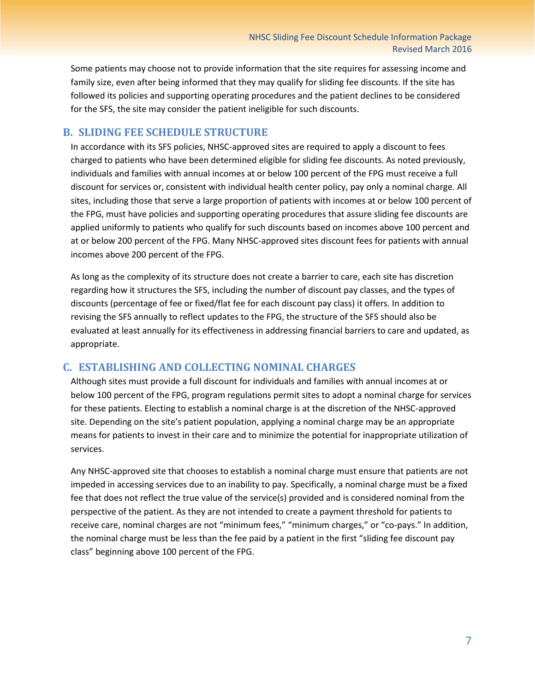Some patients may choose not to provide information that the site requires for assessing income and family size, even after being informed that they may qualify for sliding fee discounts. If the site has followed its policies and supporting operating procedures and the patient declines to be considered for the SFS, the site may consider the patient ineligible for such discounts.

#### <span id="page-6-0"></span>**B. SLIDING FEE SCHEDULE STRUCTURE**

In accordance with its SFS policies, NHSC-approved sites are required to apply a discount to fees charged to patients who have been determined eligible for sliding fee discounts. As noted previously, individuals and families with annual incomes at or below 100 percent of the FPG must receive a full discount for services or, consistent with individual health center policy, pay only a nominal charge. All sites, including those that serve a large proportion of patients with incomes at or below 100 percent of the FPG, must have policies and supporting operating procedures that assure sliding fee discounts are applied uniformly to patients who qualify for such discounts based on incomes above 100 percent and at or below 200 percent of the FPG. Many NHSC-approved sites discount fees for patients with annual incomes above 200 percent of the FPG.

As long as the complexity of its structure does not create a barrier to care, each site has discretion regarding how it structures the SFS, including the number of discount pay classes, and the types of discounts (percentage of fee or fixed/flat fee for each discount pay class) it offers. In addition to revising the SFS annually to reflect updates to the FPG, the structure of the SFS should also be evaluated at least annually for its effectiveness in addressing financial barriers to care and updated, as appropriate.

### <span id="page-6-1"></span>**C. ESTABLISHING AND COLLECTING NOMINAL CHARGES**

Although sites must provide a full discount for individuals and families with annual incomes at or below 100 percent of the FPG, program regulations permit sites to adopt a nominal charge for services for these patients. Electing to establish a nominal charge is at the discretion of the NHSC-approved site. Depending on the site's patient population, applying a nominal charge may be an appropriate means for patients to invest in their care and to minimize the potential for inappropriate utilization of services.

Any NHSC-approved site that chooses to establish a nominal charge must ensure that patients are not impeded in accessing services due to an inability to pay. Specifically, a nominal charge must be a fixed fee that does not reflect the true value of the service(s) provided and is considered nominal from the perspective of the patient. As they are not intended to create a payment threshold for patients to receive care, nominal charges are not "minimum fees," "minimum charges," or "co-pays." In addition, the nominal charge must be less than the fee paid by a patient in the first "sliding fee discount pay class" beginning above 100 percent of the FPG.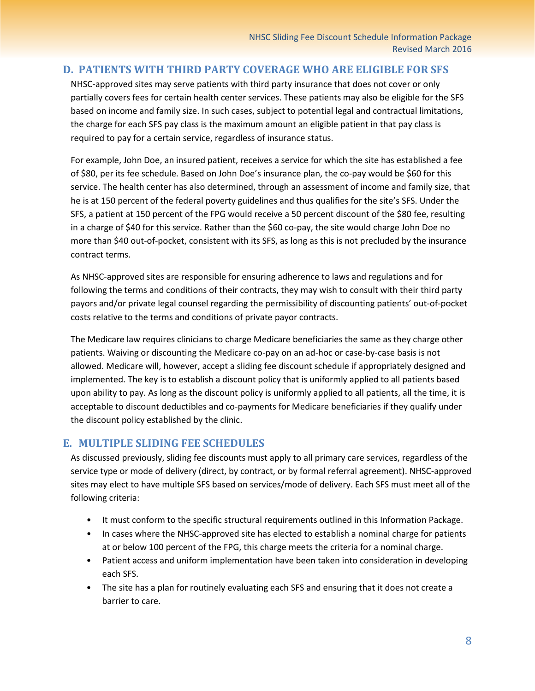### <span id="page-7-0"></span>**D. PATIENTS WITH THIRD PARTY COVERAGE WHO ARE ELIGIBLE FOR SFS**

NHSC-approved sites may serve patients with third party insurance that does not cover or only partially covers fees for certain health center services. These patients may also be eligible for the SFS based on income and family size. In such cases, subject to potential legal and contractual limitations, the charge for each SFS pay class is the maximum amount an eligible patient in that pay class is required to pay for a certain service, regardless of insurance status.

For example, John Doe, an insured patient, receives a service for which the site has established a fee of \$80, per its fee schedule. Based on John Doe's insurance plan, the co-pay would be \$60 for this service. The health center has also determined, through an assessment of income and family size, that he is at 150 percent of the federal poverty guidelines and thus qualifies for the site's SFS. Under the SFS, a patient at 150 percent of the FPG would receive a 50 percent discount of the \$80 fee, resulting in a charge of \$40 for this service. Rather than the \$60 co-pay, the site would charge John Doe no more than \$40 out-of-pocket, consistent with its SFS, as long as this is not precluded by the insurance contract terms.

As NHSC-approved sites are responsible for ensuring adherence to laws and regulations and for following the terms and conditions of their contracts, they may wish to consult with their third party payors and/or private legal counsel regarding the permissibility of discounting patients' out-of-pocket costs relative to the terms and conditions of private payor contracts.

The Medicare law requires clinicians to charge Medicare beneficiaries the same as they charge other patients. Waiving or discounting the Medicare co-pay on an ad-hoc or case-by-case basis is not allowed. Medicare will, however, accept a sliding fee discount schedule if appropriately designed and implemented. The key is to establish a discount policy that is uniformly applied to all patients based upon ability to pay. As long as the discount policy is uniformly applied to all patients, all the time, it is acceptable to discount deductibles and co-payments for Medicare beneficiaries if they qualify under the discount policy established by the clinic.

### <span id="page-7-1"></span>**E. MULTIPLE SLIDING FEE SCHEDULES**

As discussed previously, sliding fee discounts must apply to all primary care services, regardless of the service type or mode of delivery (direct, by contract, or by formal referral agreement). NHSC-approved sites may elect to have multiple SFS based on services/mode of delivery. Each SFS must meet all of the following criteria:

- It must conform to the specific structural requirements outlined in this Information Package.
- In cases where the NHSC-approved site has elected to establish a nominal charge for patients at or below 100 percent of the FPG, this charge meets the criteria for a nominal charge.
- Patient access and uniform implementation have been taken into consideration in developing each SFS.
- The site has a plan for routinely evaluating each SFS and ensuring that it does not create a barrier to care.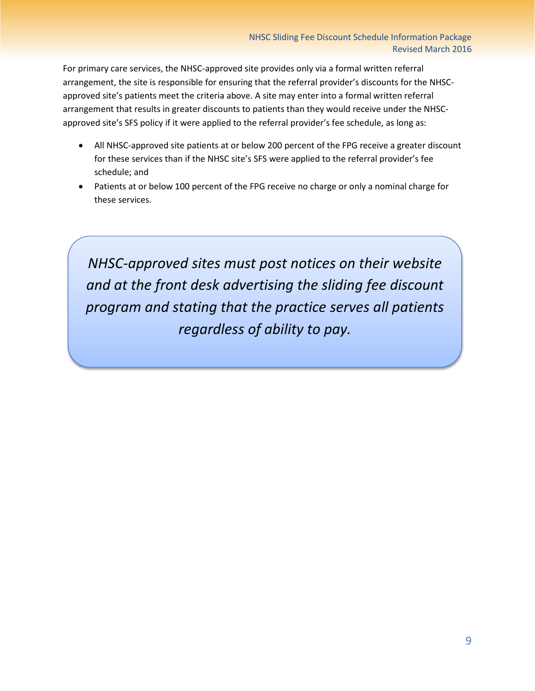For primary care services, the NHSC-approved site provides only via a formal written referral arrangement, the site is responsible for ensuring that the referral provider's discounts for the NHSCapproved site's patients meet the criteria above. A site may enter into a formal written referral arrangement that results in greater discounts to patients than they would receive under the NHSCapproved site's SFS policy if it were applied to the referral provider's fee schedule, as long as:

- All NHSC-approved site patients at or below 200 percent of the FPG receive a greater discount for these services than if the NHSC site's SFS were applied to the referral provider's fee schedule; and
- Patients at or below 100 percent of the FPG receive no charge or only a nominal charge for these services.

*NHSC-approved sites must post notices on their website and at the front desk advertising the sliding fee discount program and stating that the practice serves all patients regardless of ability to pay.*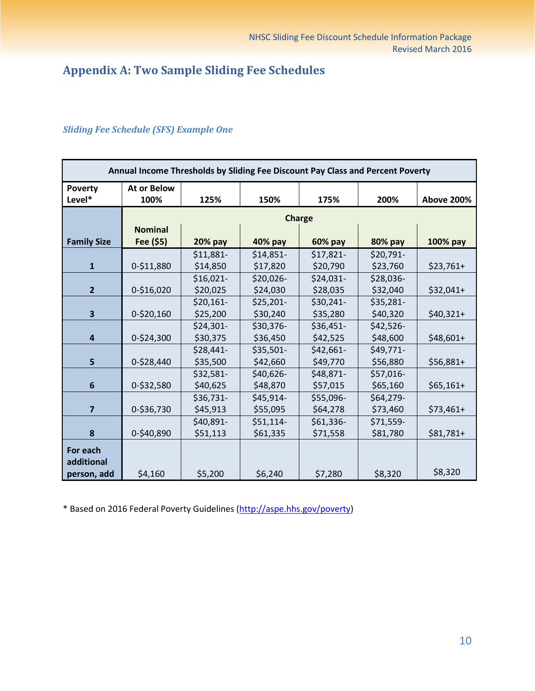## <span id="page-9-0"></span>**Appendix A: Two Sample Sliding Fee Schedules**

| Annual Income Thresholds by Sliding Fee Discount Pay Class and Percent Poverty |                            |               |            |           |           |                   |  |
|--------------------------------------------------------------------------------|----------------------------|---------------|------------|-----------|-----------|-------------------|--|
| <b>Poverty</b><br>Level*                                                       | <b>At or Below</b><br>100% | 125%          | 150%       | 175%      | 200%      | <b>Above 200%</b> |  |
|                                                                                |                            | <b>Charge</b> |            |           |           |                   |  |
|                                                                                | <b>Nominal</b>             |               |            |           |           |                   |  |
| <b>Family Size</b>                                                             | Fee (\$5)                  | 20% pay       | 40% pay    | 60% pay   | 80% pay   | 100% pay          |  |
|                                                                                |                            | \$11,881-     | $$14,851-$ | \$17,821- | \$20,791- |                   |  |
| $\mathbf{1}$                                                                   | 0-\$11,880                 | \$14,850      | \$17,820   | \$20,790  | \$23,760  | $$23,761+$        |  |
|                                                                                |                            | $$16,021-$    | $$20,026-$ | \$24,031- | \$28,036- |                   |  |
| $\overline{2}$                                                                 | 0-\$16,020                 | \$20,025      | \$24,030   | \$28,035  | \$32,040  | $$32,041+$        |  |
|                                                                                |                            | $$20,161-$    | \$25,201-  | \$30,241- | \$35,281- |                   |  |
| 3                                                                              | 0-\$20,160                 | \$25,200      | \$30,240   | \$35,280  | \$40,320  | $$40,321+$        |  |
|                                                                                |                            | $$24,301-$    | \$30,376-  | \$36,451- | \$42,526- |                   |  |
| $\overline{4}$                                                                 | 0-\$24,300                 | \$30,375      | \$36,450   | \$42,525  | \$48,600  | $$48,601+$        |  |
|                                                                                |                            | \$28,441-     | \$35,501-  | \$42,661- | \$49,771- |                   |  |
| 5                                                                              | 0-\$28,440                 | \$35,500      | \$42,660   | \$49,770  | \$56,880  | $$56,881+$        |  |
|                                                                                |                            | \$32,581-     | \$40,626-  | \$48,871- | \$57,016- |                   |  |
| 6                                                                              | 0-\$32,580                 | \$40,625      | \$48,870   | \$57,015  | \$65,160  | $$65,161+$        |  |
|                                                                                |                            | $$36,731-$    | \$45,914-  | \$55,096- | \$64,279- |                   |  |
| $\overline{7}$                                                                 | 0-\$36,730                 | \$45,913      | \$55,095   | \$64,278  | \$73,460  | $$73,461+$        |  |
|                                                                                |                            | \$40,891-     | $$51,114-$ | \$61,336- | \$71,559- |                   |  |
| 8                                                                              | 0-\$40,890                 | \$51,113      | \$61,335   | \$71,558  | \$81,780  | $$81,781+$        |  |
| For each                                                                       |                            |               |            |           |           |                   |  |
| additional                                                                     |                            |               |            |           |           |                   |  |
| person, add                                                                    | \$4,160                    | \$5,200       | \$6,240    | \$7,280   | \$8,320   | \$8,320           |  |

### *Sliding Fee Schedule (SFS) Example One*

\* Based on 2016 Federal Poverty Guidelines [\(http://aspe.hhs.gov/poverty\)](http://aspe.hhs.gov/poverty)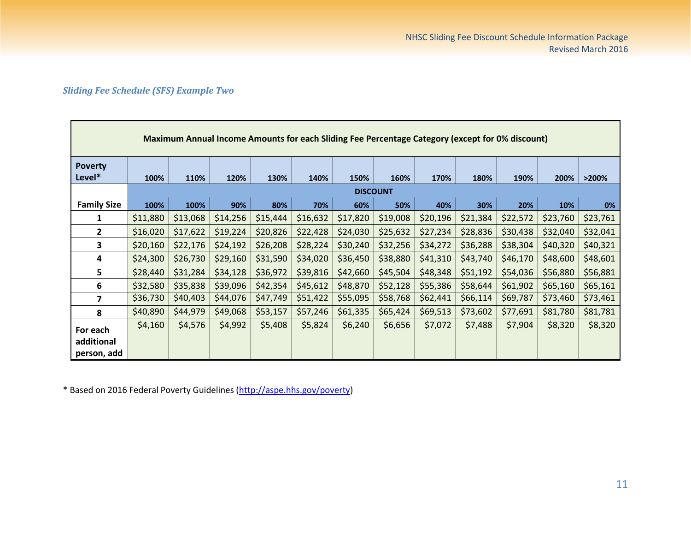### *Sliding Fee Schedule (SFS) Example Two*

**F** 

|                          | Maximum Annual Income Amounts for each Sliding Fee Percentage Category (except for 0% discount) |          |          |          |          |          |                 |          |          |          |          |          |
|--------------------------|-------------------------------------------------------------------------------------------------|----------|----------|----------|----------|----------|-----------------|----------|----------|----------|----------|----------|
| <b>Poverty</b><br>Level* | 100%                                                                                            | 110%     | 120%     | 130%     | 140%     | 150%     | 160%            | 170%     | 180%     | 190%     | 200%     | >200%    |
|                          |                                                                                                 |          |          |          |          |          | <b>DISCOUNT</b> |          |          |          |          |          |
| <b>Family Size</b>       | 100%                                                                                            | 100%     | 90%      | 80%      | 70%      | 60%      | 50%             | 40%      | 30%      | 20%      | 10%      | 0%       |
| 1                        | \$11,880                                                                                        | \$13,068 | \$14,256 | \$15,444 | \$16,632 | \$17,820 | \$19,008        | \$20,196 | \$21,384 | \$22,572 | \$23,760 | \$23,761 |
| 2                        | \$16,020                                                                                        | \$17,622 | \$19,224 | \$20,826 | \$22,428 | \$24,030 | \$25,632        | \$27,234 | \$28,836 | \$30,438 | \$32,040 | \$32,041 |
| 3                        | \$20,160                                                                                        | \$22,176 | \$24,192 | \$26,208 | \$28,224 | \$30,240 | \$32,256        | \$34,272 | \$36,288 | \$38,304 | \$40,320 | \$40,321 |
| 4                        | \$24,300                                                                                        | \$26,730 | \$29,160 | \$31,590 | \$34,020 | \$36,450 | \$38,880        | \$41,310 | \$43,740 | \$46,170 | \$48,600 | \$48,601 |
| 5                        | \$28,440                                                                                        | \$31,284 | \$34,128 | \$36,972 | \$39,816 | \$42,660 | \$45,504        | \$48,348 | \$51,192 | \$54,036 | \$56,880 | \$56,881 |
| 6                        | \$32,580                                                                                        | \$35,838 | \$39,096 | \$42,354 | \$45,612 | \$48,870 | \$52,128        | \$55,386 | \$58,644 | \$61,902 | \$65,160 | \$65,161 |
| 7                        | \$36,730                                                                                        | \$40,403 | \$44,076 | \$47,749 | \$51,422 | \$55,095 | \$58,768        | \$62,441 | \$66,114 | \$69,787 | \$73,460 | \$73,461 |
| 8                        | \$40,890                                                                                        | \$44,979 | \$49,068 | \$53,157 | \$57,246 | \$61,335 | \$65,424        | \$69,513 | \$73,602 | \$77,691 | \$81,780 | \$81,781 |
| For each                 | \$4,160                                                                                         | \$4,576  | \$4,992  | \$5,408  | \$5,824  | \$6,240  | \$6,656         | \$7,072  | \$7,488  | \$7,904  | \$8,320  | \$8,320  |
| additional               |                                                                                                 |          |          |          |          |          |                 |          |          |          |          |          |
| person, add              |                                                                                                 |          |          |          |          |          |                 |          |          |          |          |          |

\* Based on 2016 Federal Poverty Guidelines [\(http://aspe.hhs.gov/poverty\)](http://aspe.hhs.gov/poverty)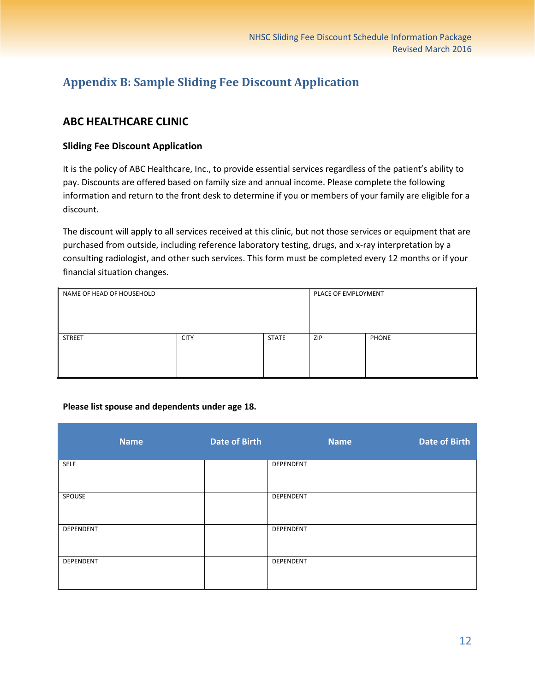### <span id="page-11-0"></span>**Appendix B: Sample Sliding Fee Discount Application**

### **ABC HEALTHCARE CLINIC**

### **Sliding Fee Discount Application**

It is the policy of ABC Healthcare, Inc., to provide essential services regardless of the patient's ability to pay. Discounts are offered based on family size and annual income. Please complete the following information and return to the front desk to determine if you or members of your family are eligible for a discount.

The discount will apply to all services received at this clinic, but not those services or equipment that are purchased from outside, including reference laboratory testing, drugs, and x-ray interpretation by a consulting radiologist, and other such services. This form must be completed every 12 months or if your financial situation changes.

| NAME OF HEAD OF HOUSEHOLD |             |              | PLACE OF EMPLOYMENT |              |
|---------------------------|-------------|--------------|---------------------|--------------|
| <b>STREET</b>             | <b>CITY</b> | <b>STATE</b> | <b>ZIP</b>          | <b>PHONE</b> |

#### **Please list spouse and dependents under age 18.**

| <b>Name</b> | <b>Date of Birth</b> | <b>Name</b> | <b>Date of Birth</b> |
|-------------|----------------------|-------------|----------------------|
| <b>SELF</b> |                      | DEPENDENT   |                      |
| SPOUSE      |                      | DEPENDENT   |                      |
| DEPENDENT   |                      | DEPENDENT   |                      |
| DEPENDENT   |                      | DEPENDENT   |                      |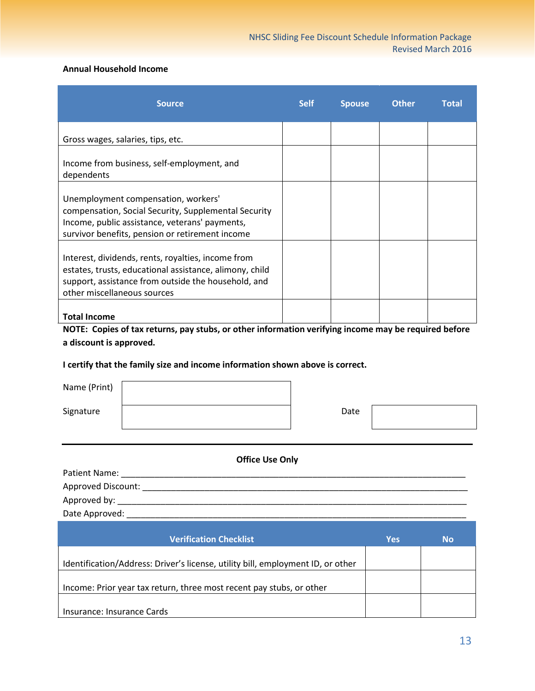#### **Annual Household Income**

| <b>Source</b>                                                                                                                                                                                       | <b>Self</b> | <b>Spouse</b> | <b>Other</b> | <b>Total</b> |
|-----------------------------------------------------------------------------------------------------------------------------------------------------------------------------------------------------|-------------|---------------|--------------|--------------|
| Gross wages, salaries, tips, etc.                                                                                                                                                                   |             |               |              |              |
| Income from business, self-employment, and<br>dependents                                                                                                                                            |             |               |              |              |
| Unemployment compensation, workers'<br>compensation, Social Security, Supplemental Security<br>Income, public assistance, veterans' payments,<br>survivor benefits, pension or retirement income    |             |               |              |              |
| Interest, dividends, rents, royalties, income from<br>estates, trusts, educational assistance, alimony, child<br>support, assistance from outside the household, and<br>other miscellaneous sources |             |               |              |              |
| <b>Total Income</b>                                                                                                                                                                                 |             |               |              |              |

**NOTE: Copies of tax returns, pay stubs, or other information verifying income may be required before a discount is approved.**

#### **I certify that the family size and income information shown above is correct.**

| Name (Print) |  |
|--------------|--|
|              |  |

Signature | Date

### **Office Use Only**

| Patient Name:      |  |
|--------------------|--|
| Approved Discount: |  |
| Approved by:       |  |
| Date Approved:     |  |

| <b>Verification Checklist</b>                                                   | Yes | Νo |
|---------------------------------------------------------------------------------|-----|----|
|                                                                                 |     |    |
| Identification/Address: Driver's license, utility bill, employment ID, or other |     |    |
|                                                                                 |     |    |
| Income: Prior year tax return, three most recent pay stubs, or other            |     |    |
|                                                                                 |     |    |
| Insurance: Insurance Cards                                                      |     |    |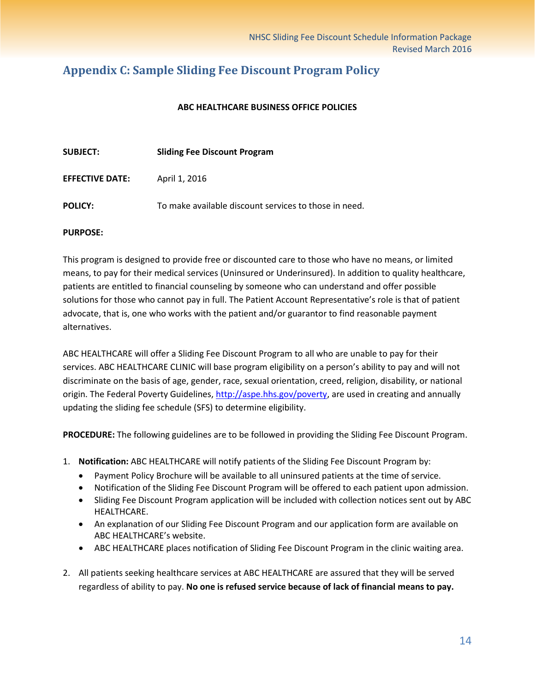### <span id="page-13-0"></span>**Appendix C: Sample Sliding Fee Discount Program Policy**

#### **ABC HEALTHCARE BUSINESS OFFICE POLICIES**

| <b>SUBJECT:</b>        | <b>Sliding Fee Discount Program</b>                   |
|------------------------|-------------------------------------------------------|
| <b>EFFECTIVE DATE:</b> | April 1, 2016                                         |
| <b>POLICY:</b>         | To make available discount services to those in need. |

#### **PURPOSE:**

This program is designed to provide free or discounted care to those who have no means, or limited means, to pay for their medical services (Uninsured or Underinsured). In addition to quality healthcare, patients are entitled to financial counseling by someone who can understand and offer possible solutions for those who cannot pay in full. The Patient Account Representative's role is that of patient advocate, that is, one who works with the patient and/or guarantor to find reasonable payment alternatives.

ABC HEALTHCARE will offer a Sliding Fee Discount Program to all who are unable to pay for their services. ABC HEALTHCARE CLINIC will base program eligibility on a person's ability to pay and will not discriminate on the basis of age, gender, race, sexual orientation, creed, religion, disability, or national origin. The Federal Poverty Guidelines, [http://aspe.hhs.gov/poverty,](http://aspe.hhs.gov/poverty) are used in creating and annually updating the sliding fee schedule (SFS) to determine eligibility.

**PROCEDURE:** The following guidelines are to be followed in providing the Sliding Fee Discount Program.

- 1. **Notification:** ABC HEALTHCARE will notify patients of the Sliding Fee Discount Program by:
	- Payment Policy Brochure will be available to all uninsured patients at the time of service.
	- Notification of the Sliding Fee Discount Program will be offered to each patient upon admission.
	- Sliding Fee Discount Program application will be included with collection notices sent out by ABC HEALTHCARE.
	- An explanation of our Sliding Fee Discount Program and our application form are available on ABC HEALTHCARE's website.
	- ABC HEALTHCARE places notification of Sliding Fee Discount Program in the clinic waiting area.
- 2. All patients seeking healthcare services at ABC HEALTHCARE are assured that they will be served regardless of ability to pay. **No one is refused service because of lack of financial means to pay.**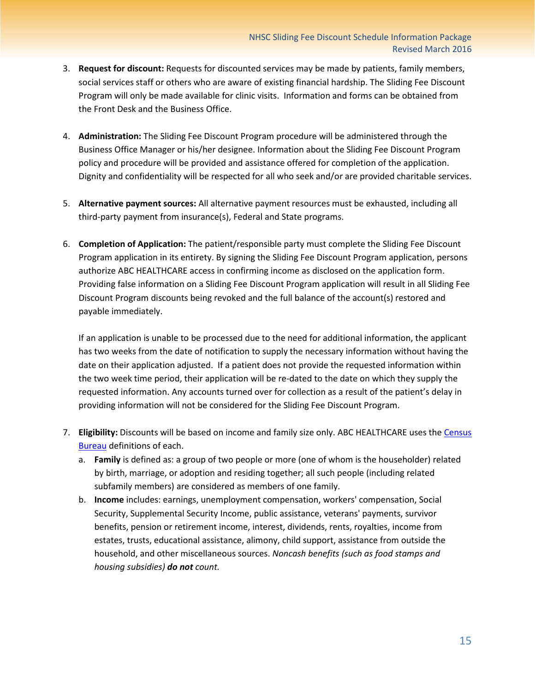- 3. **Request for discount:** Requests for discounted services may be made by patients, family members, social services staff or others who are aware of existing financial hardship. The Sliding Fee Discount Program will only be made available for clinic visits. Information and forms can be obtained from the Front Desk and the Business Office.
- 4. **Administration:** The Sliding Fee Discount Program procedure will be administered through the Business Office Manager or his/her designee. Information about the Sliding Fee Discount Program policy and procedure will be provided and assistance offered for completion of the application. Dignity and confidentiality will be respected for all who seek and/or are provided charitable services.
- 5. **Alternative payment sources:** All alternative payment resources must be exhausted, including all third-party payment from insurance(s), Federal and State programs.
- 6. **Completion of Application:** The patient/responsible party must complete the Sliding Fee Discount Program application in its entirety. By signing the Sliding Fee Discount Program application, persons authorize ABC HEALTHCARE access in confirming income as disclosed on the application form. Providing false information on a Sliding Fee Discount Program application will result in all Sliding Fee Discount Program discounts being revoked and the full balance of the account(s) restored and payable immediately.

If an application is unable to be processed due to the need for additional information, the applicant has two weeks from the date of notification to supply the necessary information without having the date on their application adjusted. If a patient does not provide the requested information within the two week time period, their application will be re-dated to the date on which they supply the requested information. Any accounts turned over for collection as a result of the patient's delay in providing information will not be considered for the Sliding Fee Discount Program.

- 7. **Eligibility:** Discounts will be based on income and family size only. ABC HEALTHCARE uses the [Census](http://www.census.gov/hhes/www/poverty/about/overview/measure.html)  [Bureau](http://www.census.gov/hhes/www/poverty/about/overview/measure.html) definitions of each.
	- a. **Family** is defined as: a group of two people or more (one of whom is the householder) related by birth, marriage, or adoption and residing together; all such people (including related subfamily members) are considered as members of one family.
	- b. **Income** includes: earnings, unemployment compensation, workers' compensation, Social Security, Supplemental Security Income, public assistance, veterans' payments, survivor benefits, pension or retirement income, interest, dividends, rents, royalties, income from estates, trusts, educational assistance, alimony, child support, assistance from outside the household, and other miscellaneous sources. *Noncash benefits (such as food stamps and housing subsidies) do not count.*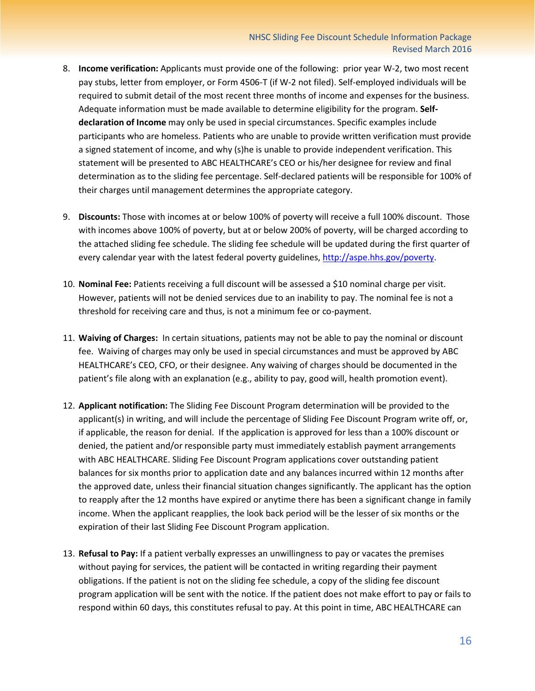- 8. **Income verification:** Applicants must provide one of the following: prior year W-2, two most recent pay stubs, letter from employer, or Form 4506-T (if W-2 not filed). Self-employed individuals will be required to submit detail of the most recent three months of income and expenses for the business. Adequate information must be made available to determine eligibility for the program. **Selfdeclaration of Income** may only be used in special circumstances. Specific examples include participants who are homeless. Patients who are unable to provide written verification must provide a signed statement of income, and why (s)he is unable to provide independent verification. This statement will be presented to ABC HEALTHCARE's CEO or his/her designee for review and final determination as to the sliding fee percentage. Self-declared patients will be responsible for 100% of their charges until management determines the appropriate category.
- 9. **Discounts:** Those with incomes at or below 100% of poverty will receive a full 100% discount. Those with incomes above 100% of poverty, but at or below 200% of poverty, will be charged according to the attached sliding fee schedule. The sliding fee schedule will be updated during the first quarter of every calendar year with the latest federal poverty guidelines, [http://aspe.hhs.gov/poverty.](http://aspe.hhs.gov/poverty)
- 10. **Nominal Fee:** Patients receiving a full discount will be assessed a \$10 nominal charge per visit. However, patients will not be denied services due to an inability to pay. The nominal fee is not a threshold for receiving care and thus, is not a minimum fee or co-payment.
- 11. **Waiving of Charges:** In certain situations, patients may not be able to pay the nominal or discount fee. Waiving of charges may only be used in special circumstances and must be approved by ABC HEALTHCARE's CEO, CFO, or their designee. Any waiving of charges should be documented in the patient's file along with an explanation (e.g., ability to pay, good will, health promotion event).
- 12. **Applicant notification:** The Sliding Fee Discount Program determination will be provided to the applicant(s) in writing, and will include the percentage of Sliding Fee Discount Program write off, or, if applicable, the reason for denial. If the application is approved for less than a 100% discount or denied, the patient and/or responsible party must immediately establish payment arrangements with ABC HEALTHCARE. Sliding Fee Discount Program applications cover outstanding patient balances for six months prior to application date and any balances incurred within 12 months after the approved date, unless their financial situation changes significantly. The applicant has the option to reapply after the 12 months have expired or anytime there has been a significant change in family income. When the applicant reapplies, the look back period will be the lesser of six months or the expiration of their last Sliding Fee Discount Program application.
- 13. **Refusal to Pay:** If a patient verbally expresses an unwillingness to pay or vacates the premises without paying for services, the patient will be contacted in writing regarding their payment obligations. If the patient is not on the sliding fee schedule, a copy of the sliding fee discount program application will be sent with the notice. If the patient does not make effort to pay or fails to respond within 60 days, this constitutes refusal to pay. At this point in time, ABC HEALTHCARE can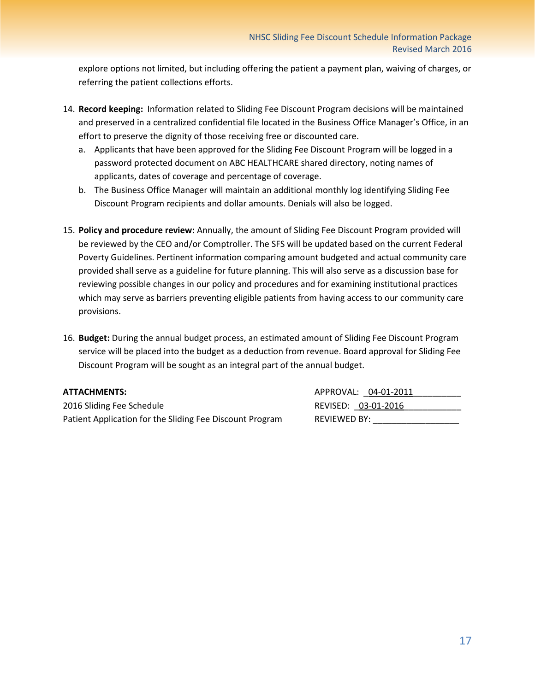explore options not limited, but including offering the patient a payment plan, waiving of charges, or referring the patient collections efforts.

- 14. **Record keeping:** Information related to Sliding Fee Discount Program decisions will be maintained and preserved in a centralized confidential file located in the Business Office Manager's Office, in an effort to preserve the dignity of those receiving free or discounted care.
	- a. Applicants that have been approved for the Sliding Fee Discount Program will be logged in a password protected document on ABC HEALTHCARE shared directory, noting names of applicants, dates of coverage and percentage of coverage.
	- b. The Business Office Manager will maintain an additional monthly log identifying Sliding Fee Discount Program recipients and dollar amounts. Denials will also be logged.
- 15. **Policy and procedure review:** Annually, the amount of Sliding Fee Discount Program provided will be reviewed by the CEO and/or Comptroller. The SFS will be updated based on the current Federal Poverty Guidelines. Pertinent information comparing amount budgeted and actual community care provided shall serve as a guideline for future planning. This will also serve as a discussion base for reviewing possible changes in our policy and procedures and for examining institutional practices which may serve as barriers preventing eligible patients from having access to our community care provisions.
- 16. **Budget:** During the annual budget process, an estimated amount of Sliding Fee Discount Program service will be placed into the budget as a deduction from revenue. Board approval for Sliding Fee Discount Program will be sought as an integral part of the annual budget.

2016 Sliding Fee Schedule **REVISED:**  $03-01-2016$ Patient Application for the Sliding Fee Discount Program REVIEWED BY:

**ATTACHMENTS:** APPROVAL: 04-01-2011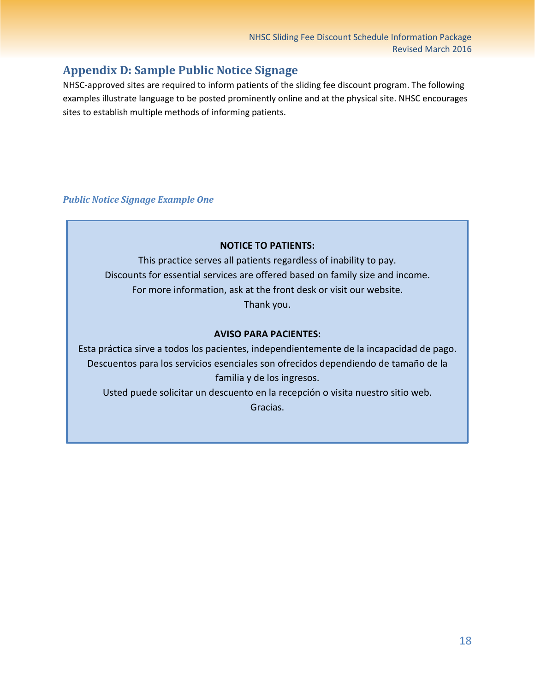### <span id="page-17-0"></span>**Appendix D: Sample Public Notice Signage**

NHSC-approved sites are required to inform patients of the sliding fee discount program. The following examples illustrate language to be posted prominently online and at the physical site. NHSC encourages sites to establish multiple methods of informing patients.

### *Public Notice Signage Example One*

### **NOTICE TO PATIENTS:**

This practice serves all patients regardless of inability to pay. Discounts for essential services are offered based on family size and income. For more information, ask at the front desk or visit our website. Thank you.

### **AVISO PARA PACIENTES:**

Esta práctica sirve a todos los pacientes, independientemente de la incapacidad de pago. Descuentos para los servicios esenciales son ofrecidos dependiendo de tamaño de la familia y de los ingresos. Usted puede solicitar un descuento en la recepción o visita nuestro sitio web. Gracias.